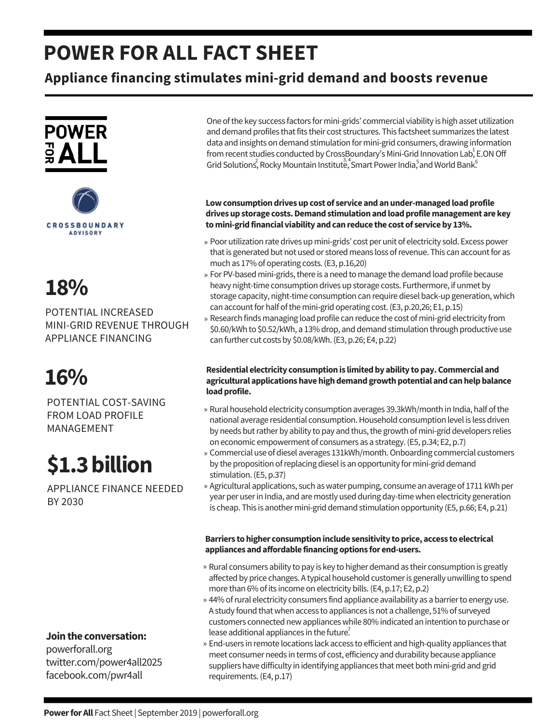## **POWER FOR ALL FACT SHEET**

### **Appliance financing stimulates mini-grid demand and boosts revenue**







POTENTIAL INCREASED MINI-GRID REVENUE THROUGH APPLIANCE FINANCING

## **16%**

POTENTIAL COST-SAVING FROM LOAD PROFILE MANAGEMENT

# **\$1.3billion**

APPLIANCE FINANCE NEEDED BY 2030

#### **Jointhe conversation:**

powerforall.org twitter.com/power4all2025 facebook.com/pwr4all

One ofthe key success factors for mini-grids' commercial viability is high asset utilization and demand profiles that fits their cost structures. This factsheet summarizes the latest data and insights on demand stimulation for mini-grid consumers, drawing information from recent studies conducted by CrossBoundary's Mini-Grid Innovation Lab, E.ON Off Grid Solutions, Rocky Mountain Institute, Smart Power India, and World Bank.

#### Low consumption drives up cost of service and an under-managed load profile **drivesupstorage costs.Demandstimulationandloadprofilemanagement are key tomini-gridfinancial viability andcanreduce the cost of serviceby 13%.**

- Poor utilization rate drives up mini-grids' cost per unit of electricity sold. Excess power » that is generated but not used or stored means loss of revenue. This can account for as much as 17% of operating costs.(E3, p.16,20)
- » For PV-based mini-grids, there is a need to manage the demand load profile because heavy night-time consumption drives up storage costs. Furthermore, if unmet by storage capacity, night-time consumption can require diesel back-up generation, which can account for half of the mini-grid operating cost. (E3, p.20,26; E1, p.15)
- Research finds managing load profile can reduce the cost of mini-grid electricity from » \$0.60/kWh to \$0.52/kWh, a 13% drop, and demand stimulation through productive use can further cut costs by \$0.08/kWh.(E3, p.26; E4, p.22)

#### **Residential electricity consumptionis limitedby ability topay.Commercial and agricultural applicationshavehighdemandgrowthpotential andcanhelpbalance** load profile.

- » Rural household electricity consumption averages 39.3kWh/month in India, half of the national average residential consumption. Household consumption level is less driven by needs but rather by ability to pay and thus, the growth of mini-grid developers relies on economic empowerment of consumers as a strategy.(E5, p.34; E2, p.7)
- » Commercial use of diesel averages 131kWh/month. Onboarding commercial customers by the proposition of replacing diesel is an opportunity for mini-grid demand stimulation.(E5, p.37)
- » Agricultural applications, such as water pumping, consume an average of 1711 kWh per year per userin India, and are mostly used during day-timewhen electricity generation is cheap. This is another mini-grid demand stimulation opportunity (E5, p.66; E4, p.21)

#### **Barriers tohigher consumptioninclude sensitivity toprice, access to electrical appliances andaffordable financing options for end-users.**

- » Rural consumers ability to pay is key to higher demand as their consumption is greatly affected by price changes. A typical household customeris generally unwilling to spend more than 6% of its income on electricity bills. (E4, p.17; E2, p.2)
- lease additional appliances in the future. » 44% of rural electricity consumers find appliance availability as a barrier to energy use. A study found that when access to appliances is not a challenge, 51% of surveyed customers connected newapplianceswhile 80% indicated an intention to purchase or
- End-users in remote locations lack access to efficient and high-quality appliances that »meet consumer needs in terms of cost, efficiency and durability because appliance suppliers have difficulty in identifying appliances that meet both mini-grid and grid requirements.(E4, p.17)